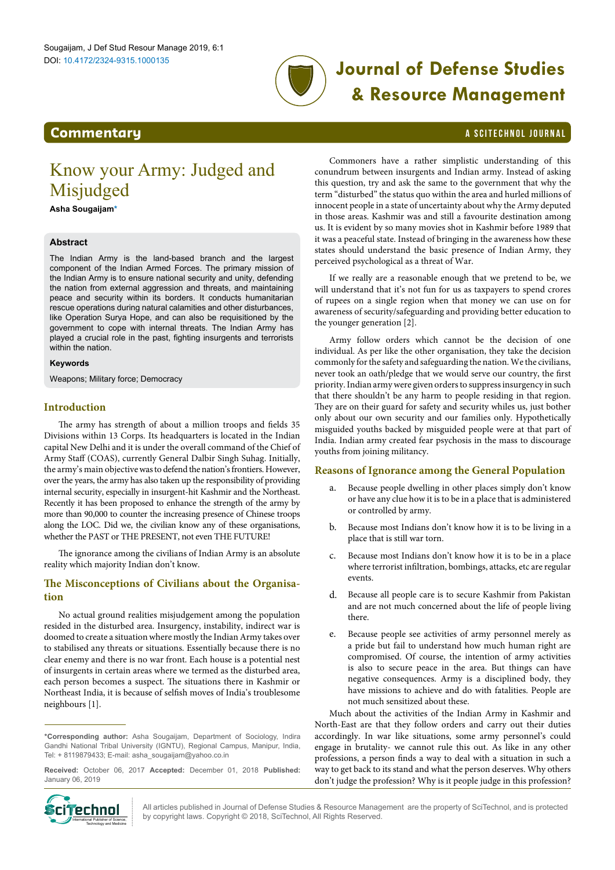

# **Journal of Defense Studies & Resource Management**

# <span id="page-0-1"></span>**Commentary Commentary a** SCITECHNOL JOURNAL

# Know your Army: Judged and Misjudged

**Asha Sougaija[m\\*](#page-0-0)**

# **Abstract**

The Indian Army is the [land-based branch](https://en.wikipedia.org/wiki/Army) and the largest component of the [Indian Armed Forces](https://en.wikipedia.org/wiki/Indian_Armed_Forces). The primary mission of the Indian Army is to ensure [national security](https://en.wikipedia.org/wiki/National_security) and unity, [defending](https://en.wikipedia.org/wiki/Defence_%28military%29) the nation from external aggression and threats, and maintaining peace and security within its borders. It conducts humanitarian rescue operations during natural calamities and other disturbances, like [Operation Surya Hope,](https://en.wikipedia.org/wiki/Operation_Surya_Hope) and can also be requisitioned by the government to cope with internal threats. The Indian Army has played a crucial role in the past, fighting [insurgents](https://en.wikipedia.org/wiki/Insurgency) and terrorists within the nation.

#### **Keywords**

Weapons; Military force; Democracy

# **Introduction**

The army has strength of about a million troops and fields 35 Divisions within 13 Corps. Its headquarters is located in the Indian capital New Delhi and it is under the overall command of the [Chief of](https://en.wikipedia.org/wiki/Chief_of_Army_Staff_of_the_Indian_Army)  [Army Staff](https://en.wikipedia.org/wiki/Chief_of_Army_Staff_of_the_Indian_Army) (COAS), currently [General Dalbir Singh Suhag.](https://en.wikipedia.org/wiki/General_Dalbir_Singh_Suhag) Initially, the army's main objective was to defend the nation's frontiers. However, over the years, the army has also taken up the responsibility of providing internal security, especially in insurgent-hit [Kashmir](https://en.wikipedia.org/wiki/Kashmir) and the [Northeast](https://en.wikipedia.org/wiki/Northeast_India). Recently it has been proposed to enhance the strength of the army by more than 90,000 to counter the increasing presence of Chinese troops along the LOC. Did we, the civilian know any of these organisations, whether the PAST or THE PRESENT, not even THE FUTURE!

The ignorance among the civilians of Indian Army is an absolute reality which majority Indian don't know.

# **The Misconceptions of Civilians about the Organisation**

No actual ground realities misjudgement among the population resided in the disturbed area. Insurgency, instability, indirect war is doomed to create a situation where mostly the Indian Army takes over to stabilised any threats or situations. Essentially because there is no clear enemy and there is no war front. Each house is a potential nest of insurgents in certain areas where we termed as the disturbed area, each person becomes a suspect. The situations there in Kashmir or Northeast India, it is because of selfish moves of India's troublesome neighbours [1].

**Received:** October 06, 2017 **Accepted:** December 01, 2018 **Published:** January 06, 2019



Commoners have a rather simplistic understanding of this conundrum between insurgents and Indian army. Instead of asking this question, try and ask the same to the government that why the term "disturbed" the status quo within the area and hurled millions of innocent people in a state of uncertainty about why the Army deputed in those areas. Kashmir was and still a favourite destination among us. It is evident by so many movies shot in Kashmir before 1989 that it was a peaceful state. Instead of bringing in the awareness how these states should understand the basic presence of Indian Army, they perceived psychological as a threat of War.

If we really are a reasonable enough that we pretend to be, we will understand that it's not fun for us as taxpayers to spend crores of rupees on a single region when that money we can use on for awareness of security/safeguarding and providing better education to the younger generation [2].

Army follow orders which cannot be the decision of one individual. As per like the other organisation, they take the decision commonly for the safety and safeguarding the nation. We the civilians, never took an oath/pledge that we would serve our country, the first priority. Indian army were given orders to suppress insurgency in such that there shouldn't be any harm to people residing in that region. They are on their guard for safety and security whiles us, just bother only about our own security and our families only. Hypothetically misguided youths backed by misguided people were at that part of India. Indian army created fear psychosis in the mass to discourage youths from joining militancy.

### **Reasons of Ignorance among the General Population**

- a. Because people dwelling in other places simply don't know or have any clue how it is to be in a place that is administered or controlled by army.
- b. Because most Indians don't know how it is to be living in a place that is still war torn.
- c. Because most Indians don't know how it is to be in a place where terrorist infiltration, bombings, attacks, etc are regular events.
- d. Because all people care is to secure Kashmir from Pakistan and are not much concerned about the life of people living there.
- Because people see activities of army personnel merely as a pride but fail to understand how much human right are compromised. Of course, the intention of army activities is also to secure peace in the area. But things can have negative consequences. Army is a disciplined body, they have missions to achieve and do with fatalities. People are not much sensitized about these.

Much about the activities of the Indian Army in Kashmir and North-East are that they follow orders and carry out their duties accordingly. In war like situations, some army personnel's could engage in brutality- we cannot rule this out. As like in any other professions, a person finds a way to deal with a situation in such a way to get back to its stand and what the person deserves. Why others don't judge the profession? Why is it people judge in this profession?

All articles published in Journal of Defense Studies & Resource Management are the property of SciTechnol, and is protected by copyright laws. Copyright © 2018, SciTechnol, All Rights Reserved.

<span id="page-0-0"></span>**<sup>\*</sup>Corresponding author:** Asha Sougaijam, Department of Sociology, Indira Gandhi National Tribal University (IGNTU), Regional Campus, Manipur, India, Tel: + 8119879433; E-mail: asha\_sougaijam@yahoo.co.in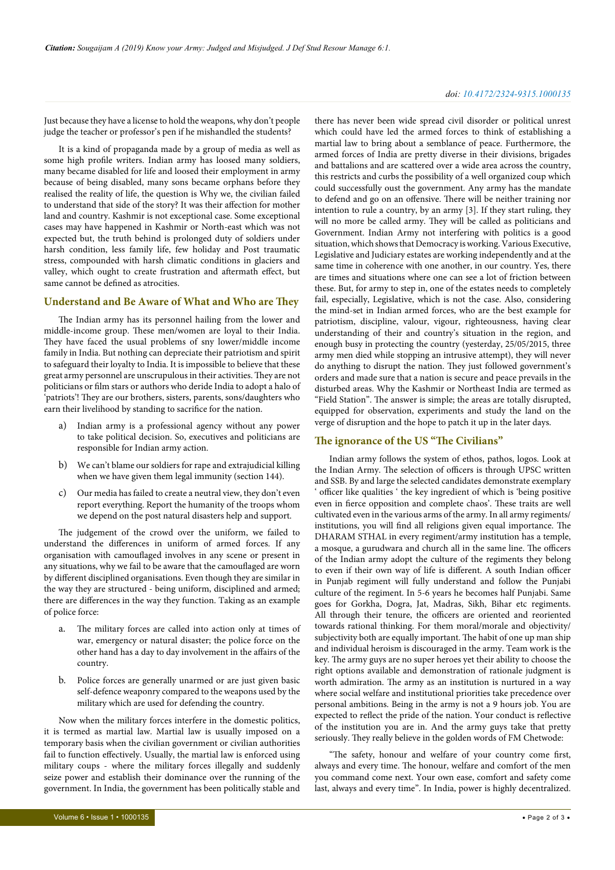Just because they have a license to hold the weapons, why don't people judge the teacher or professor's pen if he mishandled the students?

It is a kind of propaganda made by a group of media as well as some high profile writers. Indian army has loosed many soldiers, many became disabled for life and loosed their employment in army because of being disabled, many sons became orphans before they realised the reality of life, the question is Why we, the civilian failed to understand that side of the story? It was their affection for mother land and country. Kashmir is not exceptional case. Some exceptional cases may have happened in Kashmir or North-east which was not expected but, the truth behind is prolonged duty of soldiers under harsh condition, less family life, few holiday and Post traumatic stress, compounded with harsh climatic conditions in glaciers and valley, which ought to create frustration and aftermath effect, but same cannot be defined as atrocities.

#### **Understand and Be Aware of What and Who are They**

The Indian army has its personnel hailing from the lower and middle-income group. These men/women are loyal to their India. They have faced the usual problems of sny lower/middle income family in India. But nothing can depreciate their patriotism and spirit to safeguard their loyalty to India. It is impossible to believe that these great army personnel are unscrupulous in their activities. They are not politicians or film stars or authors who deride India to adopt a halo of 'patriots'! They are our brothers, sisters, parents, sons/daughters who earn their livelihood by standing to sacrifice for the nation.

- a) Indian army is a professional agency without any power to take political decision. So, executives and politicians are responsible for Indian army action.
- b) We can't blame our soldiers for rape and extrajudicial killing when we have given them legal immunity (section 144).
- c) Our media has failed to create a neutral view, they don't even report everything. Report the humanity of the troops whom we depend on the post natural disasters help and support.

The judgement of the crowd over the uniform, we failed to understand the differences in uniform of armed forces. If any organisation with camouflaged involves in any scene or present in any situations, why we fail to be aware that the camouflaged are worn by different disciplined organisations. Even though they are similar in the way they are structured - being uniform, disciplined and armed; there are differences in the way they function. Taking as an example of police force:

- a. The military forces are called into action only at times of war, emergency or natural disaster; the police force on the other hand has a day to day involvement in the affairs of the country.
- b. Police forces are generally unarmed or are just given basic self-defence weaponry compared to the weapons used by the military which are used for defending the country.

Now when the military forces interfere in the domestic politics, it is termed as martial law. Martial law is usually imposed on a temporary basis when the civilian government or civilian authorities fail to function effectively. Usually, the martial law is enforced using military coups - where the military forces illegally and suddenly seize power and establish their dominance over the running of the government. In India, the government has been politically stable and

there has never been wide spread civil disorder or political unrest which could have led the armed forces to think of establishing a martial law to bring about a semblance of peace. Furthermore, the armed forces of India are pretty diverse in their divisions, brigades and battalions and are scattered over a wide area across the country, this restricts and curbs the possibility of a well organized coup which could successfully oust the government. Any army has the mandate to defend and go on an offensive. There will be neither training nor intention to rule a country, by an army [3]. If they start ruling, they will no more be called army. They will be called as politicians and Government. Indian Army not interfering with politics is a good situation, which shows that Democracy is working. Various Executive, Legislative and Judiciary estates are working independently and at the same time in coherence with one another, in our country. Yes, there are times and situations where one can see a lot of friction between these. But, for army to step in, one of the estates needs to completely fail, especially, Legislative, which is not the case. Also, considering the mind-set in Indian armed forces, who are the best example for patriotism, discipline, valour, vigour, righteousness, having clear understanding of their and country's situation in the region, and enough busy in protecting the country (yesterday, 25/05/2015, three army men died while stopping an intrusive attempt), they will never do anything to disrupt the nation. They just followed government's orders and made sure that a nation is secure and peace prevails in the disturbed areas. Why the Kashmir or Northeast India are termed as "Field Station". The answer is simple; the areas are totally disrupted, equipped for observation, experiments and study the land on the verge of disruption and the hope to patch it up in the later days.

#### **The ignorance of the US "The Civilians"**

Indian army follows the system of ethos, pathos, logos. Look at the Indian Army. The selection of officers is through UPSC written and SSB. By and large the selected candidates demonstrate exemplary ' officer like qualities ' the key ingredient of which is 'being positive even in fierce opposition and complete chaos'. These traits are well cultivated even in the various arms of the army. In all army regiments/ institutions, you will find all religions given equal importance. The DHARAM STHAL in every regiment/army institution has a temple, a mosque, a gurudwara and church all in the same line. The officers of the Indian army adopt the culture of the regiments they belong to even if their own way of life is different. A south Indian officer in Punjab regiment will fully understand and follow the Punjabi culture of the regiment. In 5-6 years he becomes half Punjabi. Same goes for Gorkha, Dogra, Jat, Madras, Sikh, Bihar etc regiments. All through their tenure, the officers are oriented and reoriented towards rational thinking. For them moral/morale and objectivity/ subjectivity both are equally important. The habit of one up man ship and individual heroism is discouraged in the army. Team work is the key. The army guys are no super heroes yet their ability to choose the right options available and demonstration of rationale judgment is worth admiration. The army as an institution is nurtured in a way where social welfare and institutional priorities take precedence over personal ambitions. Being in the army is not a 9 hours job. You are expected to reflect the pride of the nation. Your conduct is reflective of the institution you are in. And the army guys take that pretty seriously. They really believe in the golden words of FM Chetwode:

"The safety, honour and welfare of your country come first, always and every time. The honour, welfare and comfort of the men you command come next. Your own ease, comfort and safety come last, always and every time". In India, power is highly decentralized.